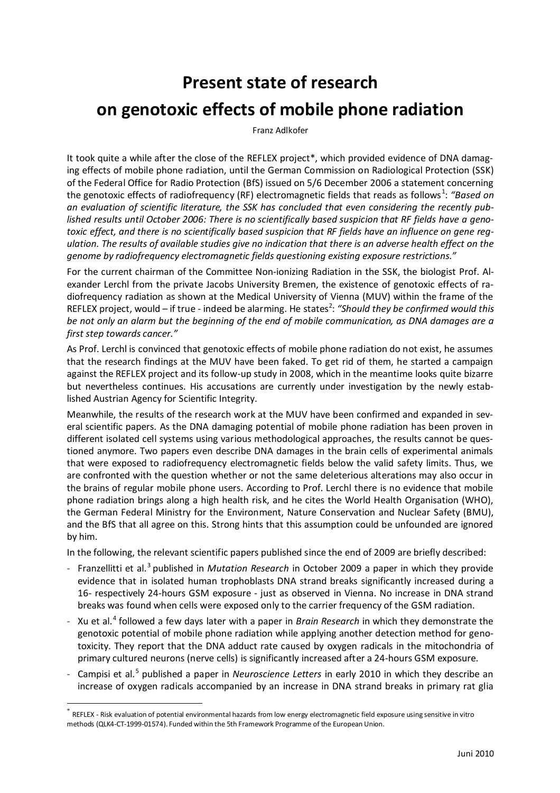## **Present state of research on genotoxic effects of mobile phone radiation**

Franz Adlkofer

It took quite a while after the close of the REFLEX project\*, which provided evidence of DNA damaging effects of mobile phone radiation, until the German Commission on Radiological Protection (SSK) of the Federal Office for Radio Protection (BfS) issued on 5/6 December 2006 a statement concerning the genotoxic effects of radiofrequency (RF) electromagnetic fields that reads as follows<sup>1</sup>: *"Based on an evaluation of scientific literature, the SSK has concluded that even considering the recently published results until October 2006: There is no scientifically based suspicion that RF fields have a genotoxic effect, and there is no scientifically based suspicion that RF fields have an influence on gene regulation. The results of available studies give no indication that there is an adverse health effect on the genome by radiofrequency electromagnetic fields questioning existing exposure restrictions."*

For the current chairman of the Committee Non-ionizing Radiation in the SSK, the biologist Prof. Alexander Lerchl from the private Jacobs University Bremen, the existence of genotoxic effects of radiofrequency radiation as shown at the Medical University of Vienna (MUV) within the frame of the REFLEX project, would – if true - indeed be alarming. He states<sup>2</sup>: "Should they be confirmed would this *be not only an alarm but the beginning of the end of mobile communication, as DNA damages are a first step towards cancer."*

As Prof. Lerchl is convinced that genotoxic effects of mobile phone radiation do not exist, he assumes that the research findings at the MUV have been faked. To get rid of them, he started a campaign against the REFLEX project and its follow-up study in 2008, which in the meantime looks quite bizarre but nevertheless continues. His accusations are currently under investigation by the newly established Austrian Agency for Scientific Integrity.

Meanwhile, the results of the research work at the MUV have been confirmed and expanded in several scientific papers. As the DNA damaging potential of mobile phone radiation has been proven in different isolated cell systems using various methodological approaches, the results cannot be questioned anymore. Two papers even describe DNA damages in the brain cells of experimental animals that were exposed to radiofrequency electromagnetic fields below the valid safety limits. Thus, we are confronted with the question whether or not the same deleterious alterations may also occur in the brains of regular mobile phone users. According to Prof. Lerchl there is no evidence that mobile phone radiation brings along a high health risk, and he cites the World Health Organisation (WHO), the German Federal Ministry for the Environment, Nature Conservation and Nuclear Safety (BMU), and the BfS that all agree on this. Strong hints that this assumption could be unfounded are ignored by him.

In the following, the relevant scientific papers published since the end of 2009 are briefly described:

- Franzellitti et al.<sup>3</sup> published in *Mutation Research* in October 2009 a paper in which they provide evidence that in isolated human trophoblasts DNA strand breaks significantly increased during a 16- respectively 24-hours GSM exposure - just as observed in Vienna. No increase in DNA strand breaks was found when cells were exposed only to the carrier frequency of the GSM radiation.
- Xu et al.<sup>4</sup> followed a few days later with a paper in *Brain Research* in which they demonstrate the genotoxic potential of mobile phone radiation while applying another detection method for genotoxicity. They report that the DNA adduct rate caused by oxygen radicals in the mitochondria of primary cultured neurons (nerve cells) is significantly increased after a 24-hours GSM exposure.
- Campisi et al.<sup>5</sup> published a paper in *Neuroscience Letters* in early 2010 in which they describe an increase of oxygen radicals accompanied by an increase in DNA strand breaks in primary rat glia

<sup>\*</sup> REFLEX - Risk evaluation of potential environmental hazards from low energy electromagnetic field exposure using sensitive in vitro methods (QLK4-CT-1999-01574). Funded within the 5th Framework Programme of the European Union.